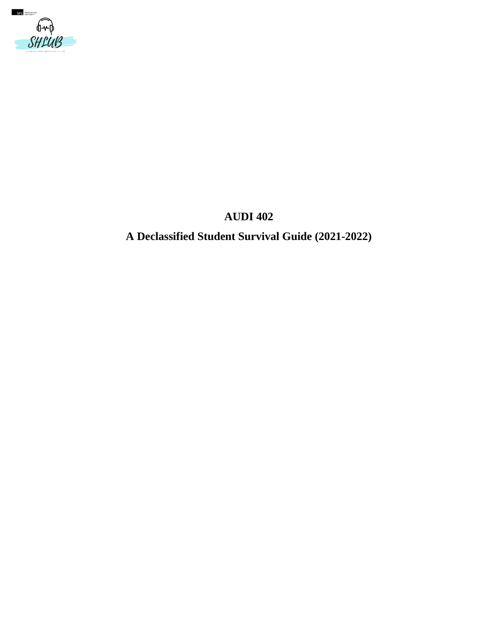

# **AUDI 402**

# **A Declassified Student Survival Guide (2021-2022)**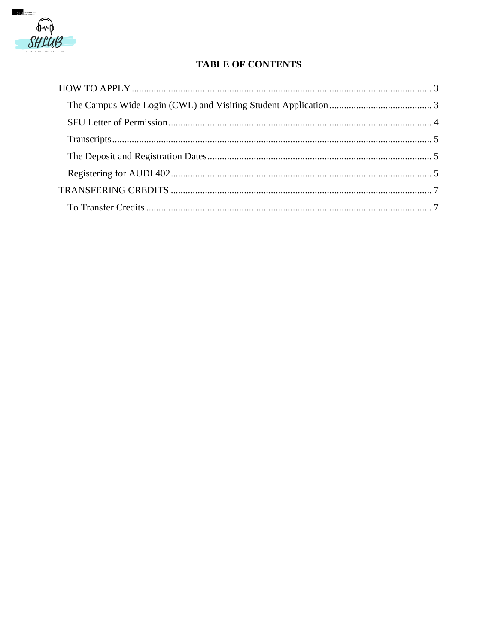

# **TABLE OF CONTENTS**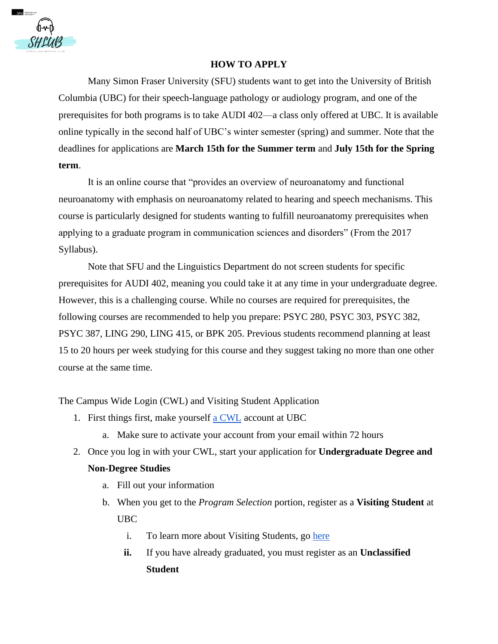

#### **HOW TO APPLY**

<span id="page-2-0"></span>Many Simon Fraser University (SFU) students want to get into the University of British Columbia (UBC) for their speech-language pathology or audiology program, and one of the prerequisites for both programs is to take AUDI 402—a class only offered at UBC. It is available online typically in the second half of UBC's winter semester (spring) and summer. Note that the deadlines for applications are **March 15th for the Summer term** and **July 15th for the Spring term**.

It is an online course that "provides an overview of neuroanatomy and functional neuroanatomy with emphasis on neuroanatomy related to hearing and speech mechanisms. This course is particularly designed for students wanting to fulfill neuroanatomy prerequisites when applying to a graduate program in communication sciences and disorders" (From the 2017 Syllabus).

Note that SFU and the Linguistics Department do not screen students for specific prerequisites for AUDI 402, meaning you could take it at any time in your undergraduate degree. However, this is a challenging course. While no courses are required for prerequisites, the following courses are recommended to help you prepare: PSYC 280, PSYC 303, PSYC 382, PSYC 387, LING 290, LING 415, or BPK 205. Previous students recommend planning at least 15 to 20 hours per week studying for this course and they suggest taking no more than one other course at the same time.

<span id="page-2-1"></span>The Campus Wide Login (CWL) and Visiting Student Application

- 1. First things first, make yourself [a CWL](https://ssc.adm.ubc.ca/sscportal/apply.xhtml) account at UBC
	- a. Make sure to activate your account from your email within 72 hours
- 2. Once you log in with your CWL, start your application for **Undergraduate Degree and Non-Degree Studies**
	- a. Fill out your information
	- b. When you get to the *Program Selection* portion, register as a **Visiting Student** at UBC
		- i. To learn more about Visiting Students, go [here](https://students.ubc.ca/enrolment/courses/non-degree-studies/non-degree-studies-visiting)
		- **ii.** If you have already graduated, you must register as an **Unclassified Student**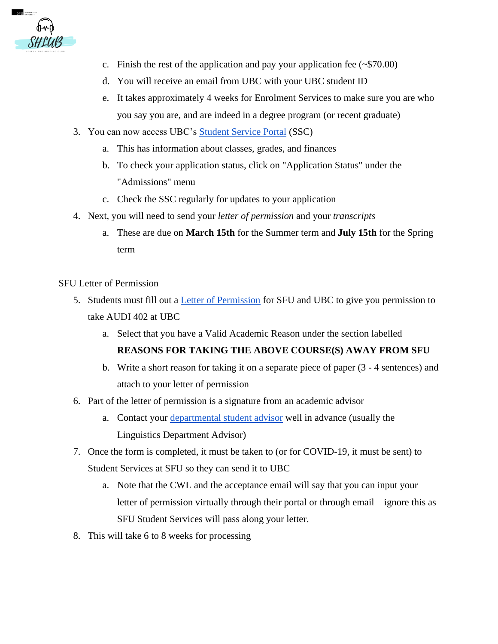

- c. Finish the rest of the application and pay your application fee  $(\sim $70.00)$
- d. You will receive an email from UBC with your UBC student ID
- e. It takes approximately 4 weeks for Enrolment Services to make sure you are who you say you are, and are indeed in a degree program (or recent graduate)
- 3. You can now access UBC's [Student Service Portal](https://ssc.adm.ubc.ca/sscportal/) (SSC)
	- a. This has information about classes, grades, and finances
	- b. To check your application status, click on "Application Status" under the "Admissions" menu
	- c. Check the SSC regularly for updates to your application
- 4. Next, you will need to send your *letter of permission* and your *transcripts* 
	- a. These are due on **March 15th** for the Summer term and **July 15th** for the Spring term

## <span id="page-3-0"></span>SFU Letter of Permission

- 5. Students must fill out a [Letter of Permission](http://www.sfu.ca/content/dam/sfu/students/pdf/permission-letter-application.pdf) for SFU and UBC to give you permission to take AUDI 402 at UBC
	- a. Select that you have a Valid Academic Reason under the section labelled

#### **REASONS FOR TAKING THE ABOVE COURSE(S) AWAY FROM SFU**

- b. Write a short reason for taking it on a separate piece of paper (3 4 sentences) and attach to your letter of permission
- 6. Part of the letter of permission is a signature from an academic advisor
	- a. Contact your [departmental student advisor](https://www.sfu.ca/students/academicadvising/contact/departmental-advisors.html) well in advance (usually the Linguistics Department Advisor)
- 7. Once the form is completed, it must be taken to (or for COVID-19, it must be sent) to Student Services at SFU so they can send it to UBC
	- a. Note that the CWL and the acceptance email will say that you can input your letter of permission virtually through their portal or through email—ignore this as SFU Student Services will pass along your letter.
- 8. This will take 6 to 8 weeks for processing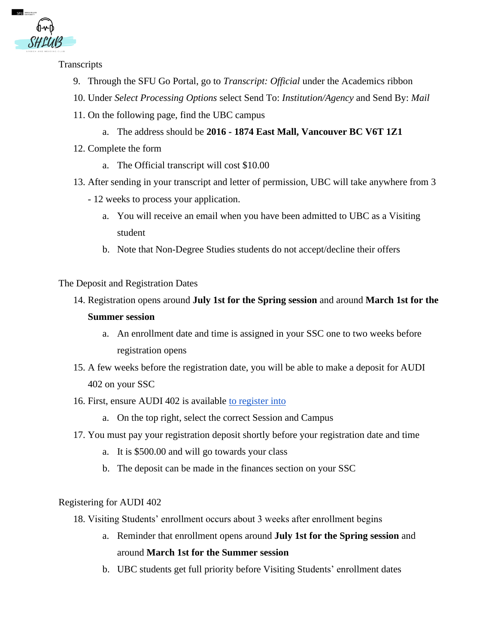

<span id="page-4-0"></span>**Transcripts** 

- 9. Through the SFU Go Portal, go to *Transcript: Official* under the Academics ribbon
- 10. Under *Select Processing Options* select Send To: *Institution/Agency* and Send By: *Mail*
- 11. On the following page, find the UBC campus
	- a. The address should be **2016 - 1874 East Mall, Vancouver BC V6T 1Z1**
- 12. Complete the form
	- a. The Official transcript will cost \$10.00
- 13. After sending in your transcript and letter of permission, UBC will take anywhere from 3
	- 12 weeks to process your application.
		- a. You will receive an email when you have been admitted to UBC as a Visiting student
		- b. Note that Non-Degree Studies students do not accept/decline their offers

<span id="page-4-1"></span>The Deposit and Registration Dates

- 14. Registration opens around **July 1st for the Spring session** and around **March 1st for the Summer session**
	- a. An enrollment date and time is assigned in your SSC one to two weeks before registration opens
- 15. A few weeks before the registration date, you will be able to make a deposit for AUDI 402 on your SSC
- 16. First, ensure AUDI 402 is available [to register into](https://courses.students.ubc.ca/cs/courseschedule?pname=subjarea&tname=subj-all-departments) 
	- a. On the top right, select the correct Session and Campus
- 17. You must pay your registration deposit shortly before your registration date and time
	- a. It is \$500.00 and will go towards your class
	- b. The deposit can be made in the finances section on your SSC

#### <span id="page-4-2"></span>Registering for AUDI 402

- 18. Visiting Students' enrollment occurs about 3 weeks after enrollment begins
	- a. Reminder that enrollment opens around **July 1st for the Spring session** and around **March 1st for the Summer session**
	- b. UBC students get full priority before Visiting Students' enrollment dates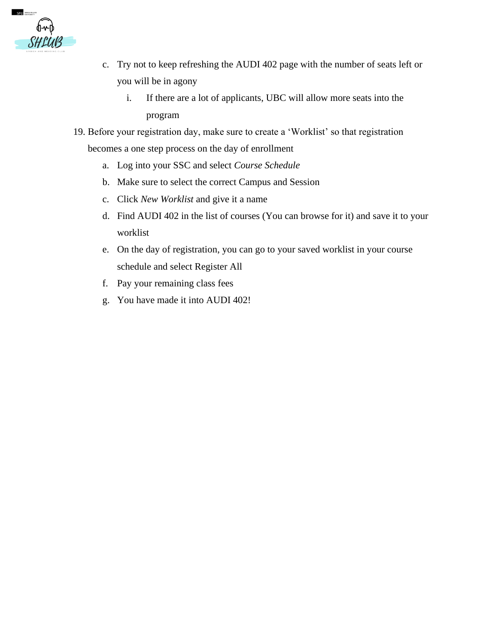

- c. Try not to keep refreshing the AUDI 402 page with the number of seats left or you will be in agony
	- i. If there are a lot of applicants, UBC will allow more seats into the program
- 19. Before your registration day, make sure to create a 'Worklist' so that registration becomes a one step process on the day of enrollment
	- a. Log into your SSC and select *Course Schedule*
	- b. Make sure to select the correct Campus and Session
	- c. Click *New Worklist* and give it a name
	- d. Find AUDI 402 in the list of courses (You can browse for it) and save it to your worklist
	- e. On the day of registration, you can go to your saved worklist in your course schedule and select Register All
	- f. Pay your remaining class fees
	- g. You have made it into AUDI 402!